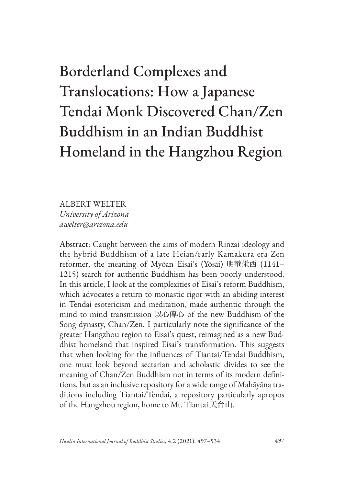# Borderland Complexes and Translocations: How a Japanese Tendai Monk Discovered Chan/Zen Buddhism in an Indian Buddhist Homeland in the Hangzhou Region

ALBERT WELTER *University of Arizona awelter@arizona.edu*

Abstract: Caught between the aims of modern Rinzai ideology and the hybrid Buddhism of a late Heian/early Kamakura era Zen reformer, the meaning of Myōan Eisai's (Yōsai) 明菴栄西 (1141– 1215) search for authentic Buddhism has been poorly understood. In this article, I look at the complexities of Eisai's reform Buddhism, which advocates a return to monastic rigor with an abiding interest in Tendai esotericism and meditation, made authentic through the mind to mind transmission 以心傳心 of the new Buddhism of the Song dynasty, Chan/Zen. I particularly note the significance of the greater Hangzhou region to Eisai's quest, reimagined as a new Buddhist homeland that inspired Eisai's transformation. This suggests that when looking for the influences of Tiantai/Tendai Buddhism, one must look beyond sectarian and scholastic divides to see the meaning of Chan/Zen Buddhism not in terms of its modern definitions, but as an inclusive repository for a wide range of Mahāyāna traditions including Tiantai/Tendai, a repository particularly apropos of the Hangzhou region, home to Mt. Tiantai 天台山.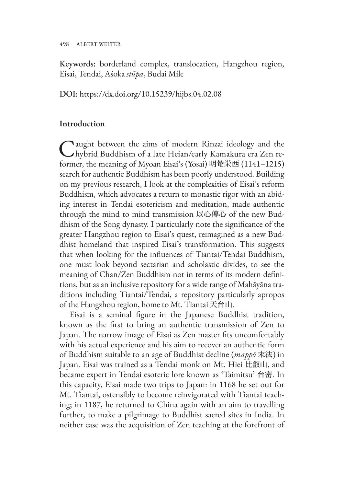498 ALBERT WELTER

Keywords: borderland complex, translocation, Hangzhou region, Eisai, Tendai, Aśoka *stūpa*, Budai Mile

DOI: https://dx.doi.org/10.15239/hijbs.04.02.08

#### **Introduction**

Caught between the aims of modern Rinzai ideology and the hybrid Buddhism of a late Heian/early Kamakura era Zen reformer, the meaning of Myōan Eisai's (Yōsai) 明菴栄西 (1141–1215) search for authentic Buddhism has been poorly understood. Building on my previous research, I look at the complexities of Eisai's reform Buddhism, which advocates a return to monastic rigor with an abiding interest in Tendai esotericism and meditation, made authentic through the mind to mind transmission 以心傳心 of the new Buddhism of the Song dynasty. I particularly note the significance of the greater Hangzhou region to Eisai's quest, reimagined as a new Buddhist homeland that inspired Eisai's transformation. This suggests that when looking for the influences of Tiantai/Tendai Buddhism, one must look beyond sectarian and scholastic divides, to see the meaning of Chan/Zen Buddhism not in terms of its modern definitions, but as an inclusive repository for a wide range of Mahāyāna traditions including Tiantai/Tendai, a repository particularly apropos of the Hangzhou region, home to Mt. Tiantai 天台山.

Eisai is a seminal figure in the Japanese Buddhist tradition, known as the first to bring an authentic transmission of Zen to Japan. The narrow image of Eisai as Zen master fits uncomfortably with his actual experience and his aim to recover an authentic form of Buddhism suitable to an age of Buddhist decline (*mappō* 末法) in Japan. Eisai was trained as a Tendai monk on Mt. Hiei 比叡山, and became expert in Tendai esoteric lore known as 'Taimitsu' 台密. In this capacity, Eisai made two trips to Japan: in 1168 he set out for Mt. Tiantai, ostensibly to become reinvigorated with Tiantai teaching; in 1187, he returned to China again with an aim to travelling further, to make a pilgrimage to Buddhist sacred sites in India. In neither case was the acquisition of Zen teaching at the forefront of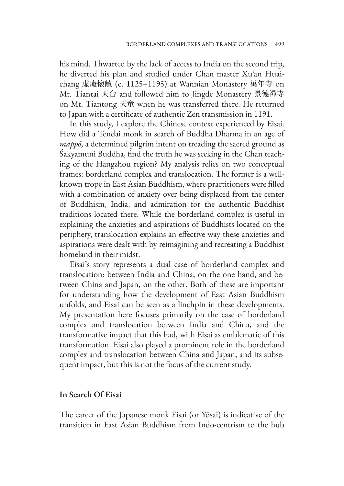his mind. Thwarted by the lack of access to India on the second trip, he diverted his plan and studied under Chan master Xu'an Huaichang 虚庵懷敞 (c. 1125–1195) at Wannian Monastery 萬年寺 on Mt. Tiantai 天台 and followed him to Jingde Monastery 景德禪寺 on Mt. Tiantong 天童 when he was transferred there. He returned to Japan with a certificate of authentic Zen transmission in 1191.

In this study, I explore the Chinese context experienced by Eisai. How did a Tendai monk in search of Buddha Dharma in an age of *mappō*, a determined pilgrim intent on treading the sacred ground as Śākyamuni Buddha, find the truth he was seeking in the Chan teaching of the Hangzhou region? My analysis relies on two conceptual frames: borderland complex and translocation. The former is a wellknown trope in East Asian Buddhism, where practitioners were filled with a combination of anxiety over being displaced from the center of Buddhism, India, and admiration for the authentic Buddhist traditions located there. While the borderland complex is useful in explaining the anxieties and aspirations of Buddhists located on the periphery, translocation explains an effective way these anxieties and aspirations were dealt with by reimagining and recreating a Buddhist homeland in their midst.

Eisai's story represents a dual case of borderland complex and translocation: between India and China, on the one hand, and between China and Japan, on the other. Both of these are important for understanding how the development of East Asian Buddhism unfolds, and Eisai can be seen as a linchpin in these developments. My presentation here focuses primarily on the case of borderland complex and translocation between India and China, and the transformative impact that this had, with Eisai as emblematic of this transformation. Eisai also played a prominent role in the borderland complex and translocation between China and Japan, and its subsequent impact, but this is not the focus of the current study.

#### **In Search Of Eisai**

The career of the Japanese monk Eisai (or Yōsai) is indicative of the transition in East Asian Buddhism from Indo-centrism to the hub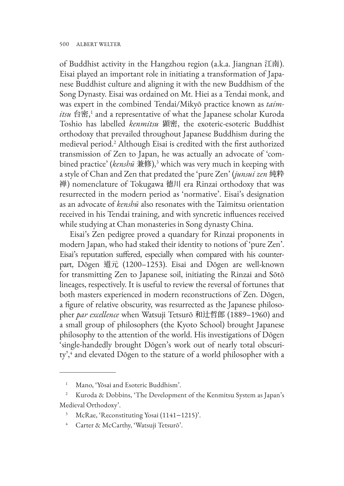of Buddhist activity in the Hangzhou region (a.k.a. Jiangnan 江南). Eisai played an important role in initiating a transformation of Japanese Buddhist culture and aligning it with the new Buddhism of the Song Dynasty. Eisai was ordained on Mt. Hiei as a Tendai monk, and was expert in the combined Tendai/Mikyō practice known as *taimitsu* 台密,<sup>1</sup> and a representative of what the Japanese scholar Kuroda Toshio has labelled *kenmitsu* 顕密, the exoteric-esoteric Buddhist orthodoxy that prevailed throughout Japanese Buddhism during the medieval period.2 Although Eisai is credited with the first authorized transmission of Zen to Japan, he was actually an advocate of 'combined practice' (*kenshū* 兼修),3 which was very much in keeping with a style of Chan and Zen that predated the 'pure Zen' (*junsui zen* 純粋 禅) nomenclature of Tokugawa 徳川 era Rinzai orthodoxy that was resurrected in the modern period as 'normative'. Eisai's designation as an advocate of *kenshū* also resonates with the Taimitsu orientation received in his Tendai training, and with syncretic influences received while studying at Chan monasteries in Song dynasty China.

Eisai's Zen pedigree proved a quandary for Rinzai proponents in modern Japan, who had staked their identity to notions of 'pure Zen'. Eisai's reputation suffered, especially when compared with his counterpart, Dōgen 道元 (1200–1253). Eisai and Dōgen are well-known for transmitting Zen to Japanese soil, initiating the Rinzai and Sōtō lineages, respectively. It is useful to review the reversal of fortunes that both masters experienced in modern reconstructions of Zen. Dōgen, a figure of relative obscurity, was resurrected as the Japanese philosopher *par excellence* when Watsuji Tetsurō 和辻哲郎 (1889–1960) and a small group of philosophers (the Kyoto School) brought Japanese philosophy to the attention of the world. His investigations of Dōgen 'single-handedly brought Dōgen's work out of nearly total obscurity',<sup>4</sup> and elevated Dōgen to the stature of a world philosopher with a

<sup>1</sup> Mano, 'Yōsai and Esoteric Buddhism'.

Kuroda & Dobbins, 'The Development of the Kenmitsu System as Japan's Medieval Orthodoxy'.

McRae, 'Reconstituting Yosai (1141–1215)'.

<sup>4</sup> Carter & McCarthy, 'Watsuji Tetsurō'.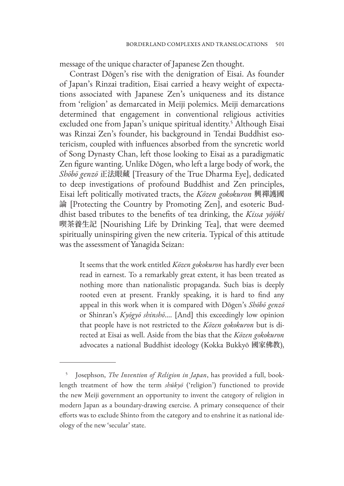message of the unique character of Japanese Zen thought.

Contrast Dōgen's rise with the denigration of Eisai. As founder of Japan's Rinzai tradition, Eisai carried a heavy weight of expectations associated with Japanese Zen's uniqueness and its distance from 'religion' as demarcated in Meiji polemics. Meiji demarcations determined that engagement in conventional religious activities excluded one from Japan's unique spiritual identity.<sup>5</sup> Although Eisai was Rinzai Zen's founder, his background in Tendai Buddhist esotericism, coupled with influences absorbed from the syncretic world of Song Dynasty Chan, left those looking to Eisai as a paradigmatic Zen figure wanting. Unlike Dōgen, who left a large body of work, the *Shōbō genzō* 正法眼藏 [Treasury of the True Dharma Eye], dedicated to deep investigations of profound Buddhist and Zen principles, Eisai left politically motivated tracts, the *Kōzen gokokuron* 興禪護國 論 [Protecting the Country by Promoting Zen], and esoteric Buddhist based tributes to the benefits of tea drinking, the *Kissa yōjōki*  喫茶養生記 [Nourishing Life by Drinking Tea], that were deemed spiritually uninspiring given the new criteria. Typical of this attitude was the assessment of Yanagida Seizan:

It seems that the work entitled *Kōzen gokokuron* has hardly ever been read in earnest. To a remarkably great extent, it has been treated as nothing more than nationalistic propaganda. Such bias is deeply rooted even at present. Frankly speaking, it is hard to find any appeal in this work when it is compared with Dōgen's *Shōbō genzō*  or Shinran's *Kyōgyō shinshō*.... [And] this exceedingly low opinion that people have is not restricted to the *Kōzen gokokuron* but is directed at Eisai as well. Aside from the bias that the *Kōzen gokokuron*  advocates a national Buddhist ideology (Kokka Bukkyō 國家佛教),

<sup>5</sup> Josephson, *The Invention of Religion in Japan*, has provided a full, booklength treatment of how the term *shūkyō* ('religion') functioned to provide the new Meiji government an opportunity to invent the category of religion in modern Japan as a boundary-drawing exercise. A primary consequence of their efforts was to exclude Shinto from the category and to enshrine it as national ideology of the new 'secular' state.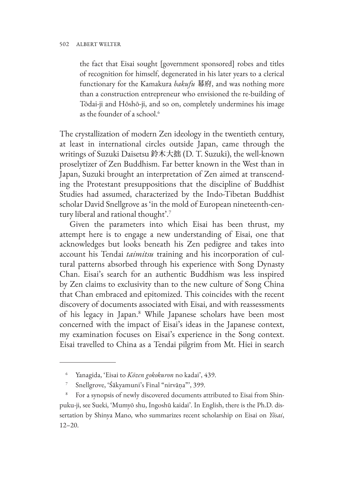the fact that Eisai sought [government sponsored] robes and titles of recognition for himself, degenerated in his later years to a clerical functionary for the Kamakura *bakufu* 幕府, and was nothing more than a construction entrepreneur who envisioned the re-building of Tōdai-ji and Hōshō-ji, and so on, completely undermines his image as the founder of a school.<sup>6</sup>

The crystallization of modern Zen ideology in the twentieth century, at least in international circles outside Japan, came through the writings of Suzuki Daisetsu 鈴木大拙 (D. T. Suzuki), the well-known proselytizer of Zen Buddhism. Far better known in the West than in Japan, Suzuki brought an interpretation of Zen aimed at transcending the Protestant presuppositions that the discipline of Buddhist Studies had assumed, characterized by the Indo-Tibetan Buddhist scholar David Snellgrove as 'in the mold of European nineteenth-century liberal and rational thought'.7

Given the parameters into which Eisai has been thrust, my attempt here is to engage a new understanding of Eisai, one that acknowledges but looks beneath his Zen pedigree and takes into account his Tendai *taimitsu* training and his incorporation of cultural patterns absorbed through his experience with Song Dynasty Chan. Eisai's search for an authentic Buddhism was less inspired by Zen claims to exclusivity than to the new culture of Song China that Chan embraced and epitomized. This coincides with the recent discovery of documents associated with Eisai, and with reassessments of his legacy in Japan.8 While Japanese scholars have been most concerned with the impact of Eisai's ideas in the Japanese context, my examination focuses on Eisai's experience in the Song context. Eisai travelled to China as a Tendai pilgrim from Mt. Hiei in search

<sup>6</sup> Yanagida, 'Eisai to *Kōzen gokokuron* no kadai', 439.

<sup>7</sup> Snellgrove, 'Śākyamuni's Final "nirvāṇa"', 399.

<sup>&</sup>lt;sup>8</sup> For a synopsis of newly discovered documents attributed to Eisai from Shinpuku-ji, see Sueki, 'Mumyō shu, Ingoshū kaidai'. In English, there is the Ph.D. dissertation by Shinya Mano, who summarizes recent scholarship on Eisai on *Yōsai*, 12–20.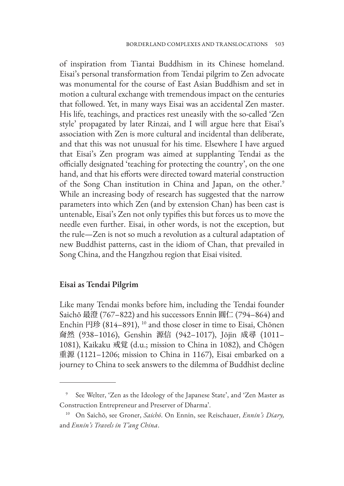of inspiration from Tiantai Buddhism in its Chinese homeland. Eisai's personal transformation from Tendai pilgrim to Zen advocate was monumental for the course of East Asian Buddhism and set in motion a cultural exchange with tremendous impact on the centuries that followed. Yet, in many ways Eisai was an accidental Zen master. His life, teachings, and practices rest uneasily with the so-called 'Zen style' propagated by later Rinzai, and I will argue here that Eisai's association with Zen is more cultural and incidental than deliberate, and that this was not unusual for his time. Elsewhere I have argued that Eisai's Zen program was aimed at supplanting Tendai as the officially designated 'teaching for protecting the country', on the one hand, and that his efforts were directed toward material construction of the Song Chan institution in China and Japan, on the other.<sup>9</sup> While an increasing body of research has suggested that the narrow parameters into which Zen (and by extension Chan) has been cast is untenable, Eisai's Zen not only typifies this but forces us to move the needle even further. Eisai, in other words, is not the exception, but the rule—Zen is not so much a revolution as a cultural adaptation of new Buddhist patterns, cast in the idiom of Chan, that prevailed in Song China, and the Hangzhou region that Eisai visited.

#### **Eisai as Tendai Pilgrim**

Like many Tendai monks before him, including the Tendai founder Saichō 最澄 (767–822) and his successors Ennin 圓仁 (794–864) and Enchin 円珍 (814–891), 10 and those closer in time to Eisai, Chōnen 奝然 (938–1016), Genshin 源信 (942–1017), Jōjin 成尋 (1011– 1081), Kaikaku 戒覚 (d.u.; mission to China in 1082), and Chōgen 重源 (1121–1206; mission to China in 1167), Eisai embarked on a journey to China to seek answers to the dilemma of Buddhist decline

See Welter, 'Zen as the Ideology of the Japanese State', and 'Zen Master as Construction Entrepreneur and Preserver of Dharma'.

<sup>10</sup> On Saichō, see Groner, *Saichō*. On Ennin, see Reischauer, *Ennin's Diary,*  and *Ennin's Travels in T'ang China*.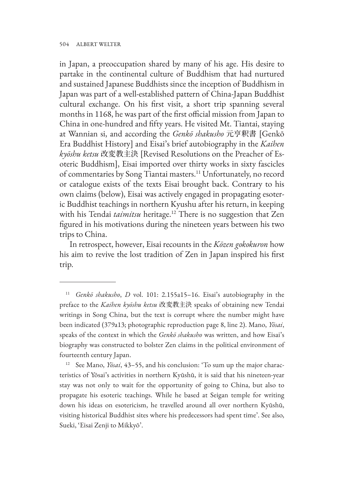in Japan, a preoccupation shared by many of his age. His desire to partake in the continental culture of Buddhism that had nurtured and sustained Japanese Buddhists since the inception of Buddhism in Japan was part of a well-established pattern of China-Japan Buddhist cultural exchange. On his first visit, a short trip spanning several months in 1168, he was part of the first official mission from Japan to China in one-hundred and fifty years. He visited Mt. Tiantai, staying at Wannian si, and according the *Genkō shakusho* 元亨釈書 [Genkō Era Buddhist History] and Eisai's brief autobiography in the *Kaihen kyōshu ketsu* 改変教主決 [Revised Resolutions on the Preacher of Esoteric Buddhism], Eisai imported over thirty works in sixty fascicles of commentaries by Song Tiantai masters.11 Unfortunately, no record or catalogue exists of the texts Eisai brought back. Contrary to his own claims (below), Eisai was actively engaged in propagating esoteric Buddhist teachings in northern Kyushu after his return, in keeping with his Tendai *taimitsu* heritage.<sup>12</sup> There is no suggestion that Zen figured in his motivations during the nineteen years between his two trips to China.

In retrospect, however, Eisai recounts in the *Kōzen gokokuron* how his aim to revive the lost tradition of Zen in Japan inspired his first trip.

<sup>11</sup> *Genkō shakusho*, *D* vol. 101: 2.155a15–16. Eisai's autobiography in the preface to the *Kaihen kyōshu ketsu* 改変教主決 speaks of obtaining new Tendai writings in Song China, but the text is corrupt where the number might have been indicated (379a13; photographic reproduction page 8, line 2). Mano, *Yōsai*, speaks of the context in which the *Genkō shakusho* was written, and how Eisai's biography was constructed to bolster Zen claims in the political environment of fourteenth century Japan.

<sup>12</sup> See Mano, *Yōsai*, 43–55, and his conclusion: 'To sum up the major characteristics of Yōsai's activities in northern Kyūshū, it is said that his nineteen-year stay was not only to wait for the opportunity of going to China, but also to propagate his esoteric teachings. While he based at Seigan temple for writing down his ideas on esotericism, he travelled around all over northern Kyūshū, visiting historical Buddhist sites where his predecessors had spent time'. See also, Sueki, 'Eisai Zenji to Mikkyō'.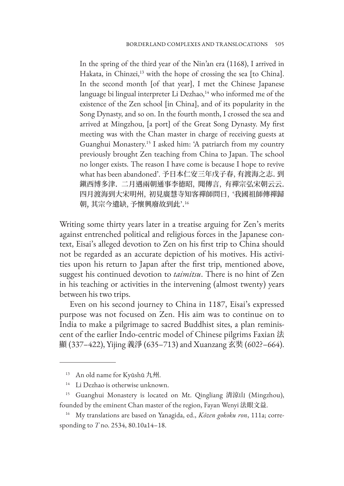In the spring of the third year of the Nin'an era (1168), I arrived in Hakata, in Chinzei,<sup>13</sup> with the hope of crossing the sea [to China]. In the second month [of that year], I met the Chinese Japanese language bi lingual interpreter Li Dezhao,<sup>14</sup> who informed me of the existence of the Zen school [in China], and of its popularity in the Song Dynasty, and so on. In the fourth month, I crossed the sea and arrived at Mingzhou, [a port] of the Great Song Dynasty. My first meeting was with the Chan master in charge of receiving guests at Guanghui Monastery.15 I asked him: 'A patriarch from my country previously brought Zen teaching from China to Japan. The school no longer exists. The reason I have come is because I hope to revive what has been abandoned'. 予日本仁安三年戊子春, 有渡海之志. 到 鎭西博多津. 二月遇兩朝通事李徳昭, 聞傳言, 有禪宗弘宋朝云云. 四月渡海到大宋明州, 初見廣慧寺知客禪師問曰, '我國祖師傳禪歸 朝, 其宗今遺缺, 予懷興廢故到此'. 16

Writing some thirty years later in a treatise arguing for Zen's merits against entrenched political and religious forces in the Japanese context, Eisai's alleged devotion to Zen on his first trip to China should not be regarded as an accurate depiction of his motives. His activities upon his return to Japan after the first trip, mentioned above, suggest his continued devotion to *taimitsu*. There is no hint of Zen in his teaching or activities in the intervening (almost twenty) years between his two trips.

Even on his second journey to China in 1187, Eisai's expressed purpose was not focused on Zen. His aim was to continue on to India to make a pilgrimage to sacred Buddhist sites, a plan reminiscent of the earlier Indo-centric model of Chinese pilgrims Faxian 法 顯 (337–422), Yijing 義淨 (635–713) and Xuanzang 玄奘 (602?–664).

<sup>13</sup> An old name for Kyūshū 九州.

<sup>&</sup>lt;sup>14</sup> Li Dezhao is otherwise unknown.

<sup>15</sup> Guanghui Monastery is located on Mt. Qingliang 清涼山 (Mingzhou), founded by the eminent Chan master of the region, Fayan Wenyi 法眼文益.

<sup>16</sup> My translations are based on Yanagida, ed., *Kōzen gokoku ron*, 111a; corresponding to *T* no. 2534, 80.10a14–18.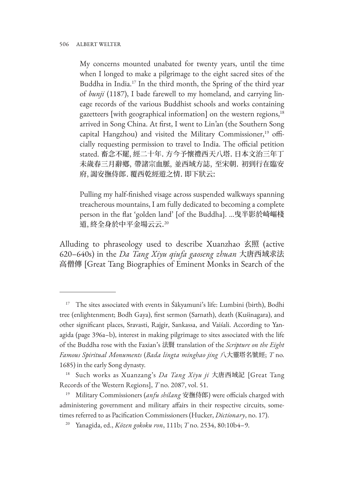My concerns mounted unabated for twenty years, until the time when I longed to make a pilgrimage to the eight sacred sites of the Buddha in India.<sup>17</sup> In the third month, the Spring of the third year of *bunji* (1187), I bade farewell to my homeland, and carrying lineage records of the various Buddhist schools and works containing gazetteers [with geographical information] on the western regions,<sup>18</sup> arrived in Song China. At first, I went to Lin'an (the Southern Song capital Hangzhou) and visited the Military Commissioner,<sup>19</sup> officially requesting permission to travel to India. The official petition stated. 畜念不罷, 經二十年. 方今予懷禮西天八塔. 日本文治三年丁 未歲春三月辭鄕, 帶諸宗血脈, 並西域方誌, 至宋朝. 初到行在臨安 府, 謁安撫侍郎. 覆西乾經遊之情. 即下狀云:

Pulling my half-finished visage across suspended walkways spanning treacherous mountains, I am fully dedicated to becoming a complete person in the flat 'golden land' [of the Buddha]. …曳半影於崎嶇棧 道, 終全身於中平金場云云.<sup>20</sup>

Alluding to phraseology used to describe Xuanzhao 玄照 (active 620–640s) in the *Da Tang Xiyu qiufa gaoseng zhuan* 大唐西域求法 高僧傳 [Great Tang Biographies of Eminent Monks in Search of the

<sup>&</sup>lt;sup>17</sup> The sites associated with events in Śākyamuni's life: Lumbini (birth), Bodhi tree (enlightenment; Bodh Gaya), first sermon (Sarnath), death (Kuśinagara), and other significant places, Sravasti, Rajgir, Sankassa, and Vaiśali. According to Yanagida (page 396a–b), interest in making pilgrimage to sites associated with the life of the Buddha rose with the Faxian's 法賢 translation of the *Scripture on the Eight Famous Spiritual Monuments* (*Bada lingta minghao jing* 八大靈塔名號經; *T* no. 1685) in the early Song dynasty.

<sup>18</sup> Such works as Xuanzang's *Da Tang Xiyu ji* 大唐西域記 [Great Tang Records of the Western Regions], *T* no. 2087, vol. 51.

<sup>19</sup> Military Commissioners (*anfu shilang* 安撫侍郎) were officials charged with administering government and military affairs in their respective circuits, sometimes referred to as Pacification Commissioners (Hucker, *Dictionary*, no. 17).

<sup>20</sup> Yanagida, ed., *Kōzen gokoku ron*, 111b; *T* no. 2534, 80:10b4–9.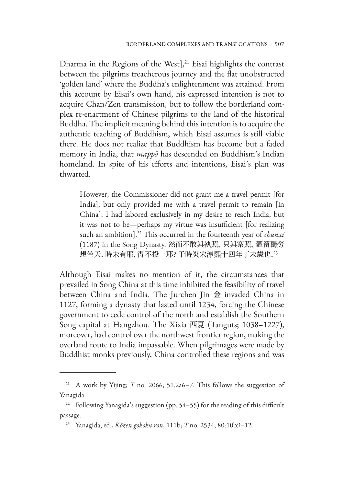Dharma in the Regions of the West], $21$  Eisai highlights the contrast between the pilgrims treacherous journey and the flat unobstructed 'golden land' where the Buddha's enlightenment was attained. From this account by Eisai's own hand, his expressed intention is not to acquire Chan/Zen transmission, but to follow the borderland complex re-enactment of Chinese pilgrims to the land of the historical Buddha. The implicit meaning behind this intention is to acquire the authentic teaching of Buddhism, which Eisai assumes is still viable there. He does not realize that Buddhism has become but a faded memory in India, that *mappō* has descended on Buddhism's Indian homeland. In spite of his efforts and intentions, Eisai's plan was thwarted.

However, the Commissioner did not grant me a travel permit [for India], but only provided me with a travel permit to remain [in China]. I had labored exclusively in my desire to reach India, but it was not to be—perhaps my virtue was insufficient [for realizing such an ambition].<sup>22</sup> This occurred in the fourteenth year of *chunxi* (1187) in the Song Dynasty. 然而不敢與執照, 只與案照, 廼留獨勞 想竺天. 時未有耶, 得不投一耶? 于時炎宋淳熙十四年丁未歲也. 23

Although Eisai makes no mention of it, the circumstances that prevailed in Song China at this time inhibited the feasibility of travel between China and India. The Jurchen Jin 金 invaded China in 1127, forming a dynasty that lasted until 1234, forcing the Chinese government to cede control of the north and establish the Southern Song capital at Hangzhou. The Xixia 西夏 (Tanguts; 1038–1227), moreover, had control over the northwest frontier region, making the overland route to India impassable. When pilgrimages were made by Buddhist monks previously, China controlled these regions and was

<sup>21</sup> A work by Yijing; *T* no. 2066, 51.2a6–7. This follows the suggestion of Yanagida.

<sup>&</sup>lt;sup>22</sup> Following Yanagida's suggestion (pp. 54–55) for the reading of this difficult passage.

<sup>23</sup> Yanagida, ed., *Kōzen gokoku ron*, 111b; *T* no. 2534, 80:10b9–12.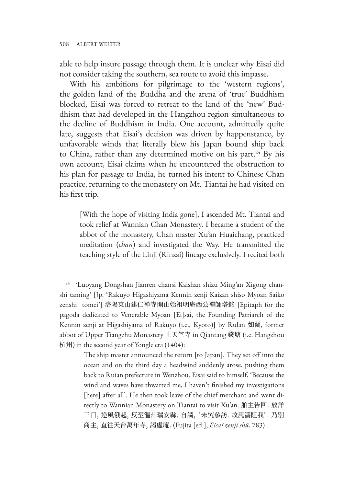able to help insure passage through them. It is unclear why Eisai did not consider taking the southern, sea route to avoid this impasse.

With his ambitions for pilgrimage to the 'western regions', the golden land of the Buddha and the arena of 'true' Buddhism blocked, Eisai was forced to retreat to the land of the 'new' Buddhism that had developed in the Hangzhou region simultaneous to the decline of Buddhism in India. One account, admittedly quite late, suggests that Eisai's decision was driven by happenstance, by unfavorable winds that literally blew his Japan bound ship back to China, rather than any determined motive on his part.<sup>24</sup> By his own account, Eisai claims when he encountered the obstruction to his plan for passage to India, he turned his intent to Chinese Chan practice, returning to the monastery on Mt. Tiantai he had visited on his first trip.

[With the hope of visiting India gone], I ascended Mt. Tiantai and took relief at Wannian Chan Monastery. I became a student of the abbot of the monastery, Chan master Xu'an Huaichang, practiced meditation (*chan*) and investigated the Way. He transmitted the teaching style of the Linji (Rinzai) lineage exclusively. I recited both

<sup>24</sup> 'Luoyang Dongshan Jianren chansi Kaishan shizu Ming'an Xigong chanshi taming' [Jp. 'Rakuyō Higashiyama Kennin zenji Kaizan shiso Myōan Saikō zenshi tōmei'] 洛陽東山建仁禅寺開山始祖明庵西公禪師塔銘 [Epitaph for the pagoda dedicated to Venerable Myōan [Ei]sai, the Founding Patriarch of the Kennin zenji at Higashiyama of Rakuyō (i.e., Kyoto)] by Rulan 如蘭, former abbot of Upper Tiangzhu Monastery 上天竺寺 in Qiantang 錢塘 (i.e. Hangzhou 杭州) in the second year of Yongle era (1404):

The ship master announced the return [to Japan]. They set off into the ocean and on the third day a headwind suddenly arose, pushing them back to Ruian prefecture in Wenzhou. Eisai said to himself, 'Because the wind and waves have thwarted me, I haven't finished my investigations [here] after all'. He then took leave of the chief merchant and went directly to Wannian Monastery on Tiantai to visit Xu'an. 舶主告回. 放洋 三日, 逆風俄起, 反至溫州瑞安縣. 自謂, '未究參訪. 故風濤阻我'. 乃別 商主, 直往天台萬年寺, 謁虛庵. (Fujita [ed.], *Eisai zenji shū*, 783)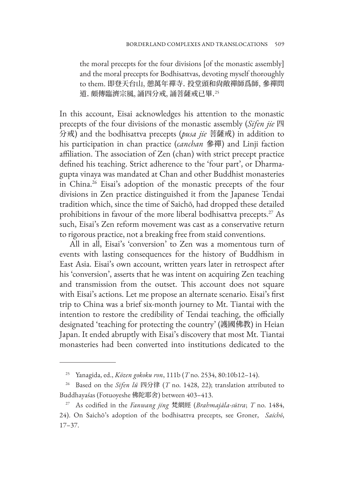the moral precepts for the four divisions [of the monastic assembly] and the moral precepts for Bodhisattvas, devoting myself thoroughly to them. 即登天台山, 憩萬年禪寺. 投堂頭和尙敞禪師爲師, 參禪問 道. 頗傳臨濟宗風, 誦四分戒, 誦菩薩戒已畢. 25

In this account, Eisai acknowledges his attention to the monastic precepts of the four divisions of the monastic assembly (*Sifen jie* 四 分戒) and the bodhisattva precepts (*pusa jie* 菩薩戒) in addition to his participation in chan practice (*canchan* 參禪) and Linji faction affiliation. The association of Zen (chan) with strict precept practice defined his teaching. Strict adherence to the 'four part', or Dharmagupta vinaya was mandated at Chan and other Buddhist monasteries in China.26 Eisai's adoption of the monastic precepts of the four divisions in Zen practice distinguished it from the Japanese Tendai tradition which, since the time of Saichō, had dropped these detailed prohibitions in favour of the more liberal bodhisattva precepts.<sup>27</sup> As such, Eisai's Zen reform movement was cast as a conservative return to rigorous practice, not a breaking free from staid conventions.

All in all, Eisai's 'conversion' to Zen was a momentous turn of events with lasting consequences for the history of Buddhism in East Asia. Eisai's own account, written years later in retrospect after his 'conversion', asserts that he was intent on acquiring Zen teaching and transmission from the outset. This account does not square with Eisai's actions. Let me propose an alternate scenario. Eisai's first trip to China was a brief six-month journey to Mt. Tiantai with the intention to restore the credibility of Tendai teaching, the officially designated 'teaching for protecting the country' (護國佛教) in Heian Japan. It ended abruptly with Eisai's discovery that most Mt. Tiantai monasteries had been converted into institutions dedicated to the

<sup>25</sup> Yanagida, ed., *Kōzen gokoku ron*, 111b (*T* no. 2534, 80:10b12–14).

<sup>26</sup> Based on the *Sifen lü* 四分律 (*T* no. 1428, 22); translation attributed to Buddhayaśas (Fotuoyeshe 佛陀耶舍) between 403–413.

<sup>27</sup> As codified in the *Fanwang jing* 梵網經 (*Brahmajāla-sūtra*; *T* no. 1484, 24). On Saichō's adoption of the bodhisattva precepts, see Groner, *Saichō*, 17–37.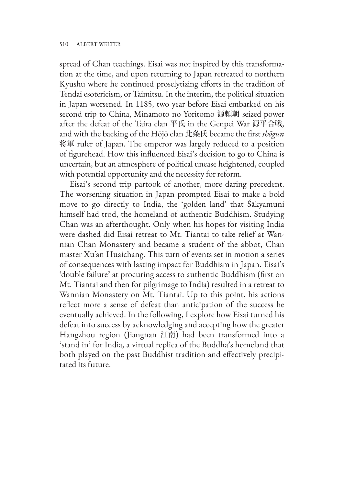spread of Chan teachings. Eisai was not inspired by this transformation at the time, and upon returning to Japan retreated to northern Kyūshū where he continued proselytizing efforts in the tradition of Tendai esotericism, or Taimitsu. In the interim, the political situation in Japan worsened. In 1185, two year before Eisai embarked on his second trip to China, Minamoto no Yoritomo 源頼朝 seized power after the defeat of the Taira clan 平氏 in the Genpei War 源平合戦, and with the backing of the Hōjō clan 北条氏 became the first *shōgun* 将軍 ruler of Japan. The emperor was largely reduced to a position of figurehead. How this influenced Eisai's decision to go to China is uncertain, but an atmosphere of political unease heightened, coupled with potential opportunity and the necessity for reform.

Eisai's second trip partook of another, more daring precedent. The worsening situation in Japan prompted Eisai to make a bold move to go directly to India, the 'golden land' that Śākyamuni himself had trod, the homeland of authentic Buddhism. Studying Chan was an afterthought. Only when his hopes for visiting India were dashed did Eisai retreat to Mt. Tiantai to take relief at Wannian Chan Monastery and became a student of the abbot, Chan master Xu'an Huaichang. This turn of events set in motion a series of consequences with lasting impact for Buddhism in Japan. Eisai's 'double failure' at procuring access to authentic Buddhism (first on Mt. Tiantai and then for pilgrimage to India) resulted in a retreat to Wannian Monastery on Mt. Tiantai. Up to this point, his actions reflect more a sense of defeat than anticipation of the success he eventually achieved. In the following, I explore how Eisai turned his defeat into success by acknowledging and accepting how the greater Hangzhou region (Jiangnan 江南) had been transformed into a 'stand in' for India, a virtual replica of the Buddha's homeland that both played on the past Buddhist tradition and effectively precipitated its future.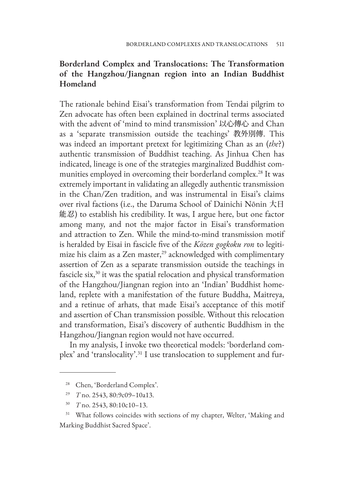# **Borderland Complex and Translocations: The Transformation of the Hangzhou/Jiangnan region into an Indian Buddhist Homeland**

The rationale behind Eisai's transformation from Tendai pilgrim to Zen advocate has often been explained in doctrinal terms associated with the advent of 'mind to mind transmission' 以心傳心 and Chan as a 'separate transmission outside the teachings' 教外別傳. This was indeed an important pretext for legitimizing Chan as an (*the*?) authentic transmission of Buddhist teaching. As Jinhua Chen has indicated, lineage is one of the strategies marginalized Buddhist communities employed in overcoming their borderland complex.28 It was extremely important in validating an allegedly authentic transmission in the Chan/Zen tradition, and was instrumental in Eisai's claims over rival factions (i.e., the Daruma School of Dainichi Nōnin 大日 能忍) to establish his credibility. It was, I argue here, but one factor among many, and not the major factor in Eisai's transformation and attraction to Zen. While the mind-to-mind transmission motif is heralded by Eisai in fascicle five of the *Kōzen gogkoku ron* to legitimize his claim as a Zen master,<sup>29</sup> acknowledged with complimentary assertion of Zen as a separate transmission outside the teachings in fascicle six,<sup>30</sup> it was the spatial relocation and physical transformation of the Hangzhou/Jiangnan region into an 'Indian' Buddhist homeland, replete with a manifestation of the future Buddha, Maitreya, and a retinue of arhats, that made Eisai's acceptance of this motif and assertion of Chan transmission possible. Without this relocation and transformation, Eisai's discovery of authentic Buddhism in the Hangzhou/Jiangnan region would not have occurred.

In my analysis, I invoke two theoretical models: 'borderland complex' and 'translocality'.31 I use translocation to supplement and fur-

<sup>28</sup> Chen, 'Borderland Complex'.

<sup>29</sup> *T* no. 2543, 80:9c09–10a13.

<sup>30</sup> *T* no. 2543, 80:10c10–13.

<sup>&</sup>lt;sup>31</sup> What follows coincides with sections of my chapter, Welter, 'Making and Marking Buddhist Sacred Space'.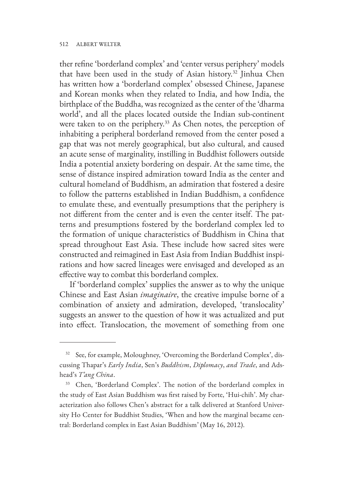#### 512 ALBERT WELTER

ther refine 'borderland complex' and 'center versus periphery' models that have been used in the study of Asian history.32 Jinhua Chen has written how a 'borderland complex' obsessed Chinese, Japanese and Korean monks when they related to India, and how India, the birthplace of the Buddha, was recognized as the center of the 'dharma world', and all the places located outside the Indian sub-continent were taken to on the periphery.<sup>33</sup> As Chen notes, the perception of inhabiting a peripheral borderland removed from the center posed a gap that was not merely geographical, but also cultural, and caused an acute sense of marginality, instilling in Buddhist followers outside India a potential anxiety bordering on despair. At the same time, the sense of distance inspired admiration toward India as the center and cultural homeland of Buddhism, an admiration that fostered a desire to follow the patterns established in Indian Buddhism, a confidence to emulate these, and eventually presumptions that the periphery is not different from the center and is even the center itself. The patterns and presumptions fostered by the borderland complex led to the formation of unique characteristics of Buddhism in China that spread throughout East Asia. These include how sacred sites were constructed and reimagined in East Asia from Indian Buddhist inspirations and how sacred lineages were envisaged and developed as an effective way to combat this borderland complex.

If 'borderland complex' supplies the answer as to why the unique Chinese and East Asian *imaginaire*, the creative impulse borne of a combination of anxiety and admiration, developed, 'translocality' suggests an answer to the question of how it was actualized and put into effect. Translocation, the movement of something from one

<sup>&</sup>lt;sup>32</sup> See, for example, Moloughney, 'Overcoming the Borderland Complex', discussing Thapar's *Early India*, Sen's *Buddhism*, *Diplomacy*, *and Trade*, and Adshead's *T'ang China*.

<sup>&</sup>lt;sup>33</sup> Chen, 'Borderland Complex'. The notion of the borderland complex in the study of East Asian Buddhism was first raised by Forte, 'Hui-chih'. My characterization also follows Chen's abstract for a talk delivered at Stanford University Ho Center for Buddhist Studies, 'When and how the marginal became central: Borderland complex in East Asian Buddhism' (May 16, 2012).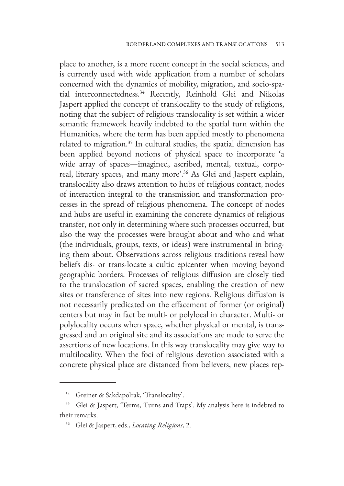place to another, is a more recent concept in the social sciences, and is currently used with wide application from a number of scholars concerned with the dynamics of mobility, migration, and socio-spatial interconnectedness.<sup>34</sup> Recently, Reinhold Glei and Nikolas Jaspert applied the concept of translocality to the study of religions, noting that the subject of religious translocality is set within a wider semantic framework heavily indebted to the spatial turn within the Humanities, where the term has been applied mostly to phenomena related to migration.<sup>35</sup> In cultural studies, the spatial dimension has been applied beyond notions of physical space to incorporate 'a wide array of spaces—imagined, ascribed, mental, textual, corporeal, literary spaces, and many more'.36 As Glei and Jaspert explain, translocality also draws attention to hubs of religious contact, nodes of interaction integral to the transmission and transformation processes in the spread of religious phenomena. The concept of nodes and hubs are useful in examining the concrete dynamics of religious transfer, not only in determining where such processes occurred, but also the way the processes were brought about and who and what (the individuals, groups, texts, or ideas) were instrumental in bringing them about. Observations across religious traditions reveal how beliefs dis- or trans-locate a cultic epicenter when moving beyond geographic borders. Processes of religious diffusion are closely tied to the translocation of sacred spaces, enabling the creation of new sites or transference of sites into new regions. Religious diffusion is not necessarily predicated on the effacement of former (or original) centers but may in fact be multi- or polylocal in character. Multi- or polylocality occurs when space, whether physical or mental, is transgressed and an original site and its associations are made to serve the assertions of new locations. In this way translocality may give way to multilocality. When the foci of religious devotion associated with a concrete physical place are distanced from believers, new places rep-

<sup>&</sup>lt;sup>34</sup> Greiner & Sakdapolrak, 'Translocality'.

<sup>&</sup>lt;sup>35</sup> Glei & Jaspert, 'Terms, Turns and Traps'. My analysis here is indebted to their remarks.

<sup>36</sup> Glei & Jaspert, eds., *Locating Religions*, 2.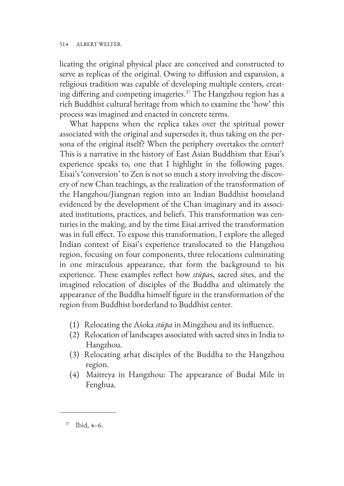#### 514 ALBERT WELTER

licating the original physical place are conceived and constructed to serve as replicas of the original. Owing to diffusion and expansion, a religious tradition was capable of developing multiple centers, creating differing and competing imageries.37 The Hangzhou region has a rich Buddhist cultural heritage from which to examine the 'how' this process was imagined and enacted in concrete terms.

What happens when the replica takes over the spiritual power associated with the original and supersedes it, thus taking on the persona of the original itself? When the periphery overtakes the center? This is a narrative in the history of East Asian Buddhism that Eisai's experience speaks to, one that I highlight in the following pages. Eisai's 'conversion' to Zen is not so much a story involving the discovery of new Chan teachings, as the realization of the transformation of the Hangzhou/Jiangnan region into an Indian Buddhist homeland evidenced by the development of the Chan imaginary and its associated institutions, practices, and beliefs. This transformation was centuries in the making, and by the time Eisai arrived the transformation was in full effect. To expose this transformation, I explore the alleged Indian context of Eisai's experience translocated to the Hangzhou region, focusing on four components, three relocations culminating in one miraculous appearance, that form the background to his experience. These examples reflect how *stūpa*s, sacred sites, and the imagined relocation of disciples of the Buddha and ultimately the appearance of the Buddha himself figure in the transformation of the region from Buddhist borderland to Buddhist center.

- (1) Relocating the Aśoka *stūpa* in Mingzhou and its influence.
- (2) Relocation of landscapes associated with sacred sites in India to Hangzhou.
- (3) Relocating arhat disciples of the Buddha to the Hangzhou region.
- (4) Maitreya in Hangzhou: The appearance of Budai Mile in Fenghua.

<sup>37</sup> Ibid, 4–6.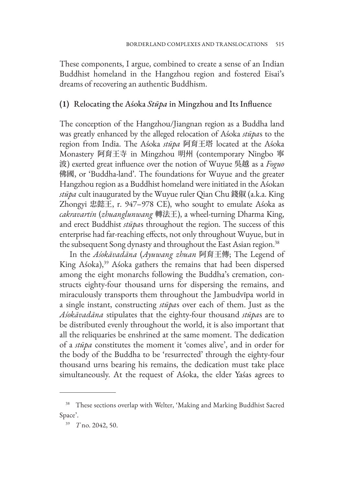These components, I argue, combined to create a sense of an Indian Buddhist homeland in the Hangzhou region and fostered Eisai's dreams of recovering an authentic Buddhism.

#### **(1)** Relocating the Aśoka *Stūpa* in Mingzhou and Its Influence

The conception of the Hangzhou/Jiangnan region as a Buddha land was greatly enhanced by the alleged relocation of Aśoka *stūpa*s to the region from India. The Aśoka *stūpa* 阿育王塔 located at the Aśoka Monastery 阿育王寺 in Mingzhou 明州 (contemporary Ningbo 寧 波) exerted great influence over the notion of Wuyue 吳越 as a *Foguo* 佛國, or 'Buddha-land'. The foundations for Wuyue and the greater Hangzhou region as a Buddhist homeland were initiated in the Aśokan *stūpa* cult inaugurated by the Wuyue ruler Qian Chu 錢俶 (a.k.a. King Zhongyi 忠懿王, r. 947–978 CE), who sought to emulate Aśoka as *cakravartin* (*zhuanglunwang* 轉法王), a wheel-turning Dharma King, and erect Buddhist *stūpa*s throughout the region. The success of this enterprise had far-reaching effects, not only throughout Wuyue, but in the subsequent Song dynasty and throughout the East Asian region.<sup>38</sup>

In the *Aśokāvadāna* (*Ayuwang zhuan* 阿育王傳; The Legend of King Aśoka),<sup>39</sup> Aśoka gathers the remains that had been dispersed among the eight monarchs following the Buddha's cremation, constructs eighty-four thousand urns for dispersing the remains, and miraculously transports them throughout the Jambudvīpa world in a single instant, constructing *stūpa*s over each of them. Just as the *Aśokāvadāna* stipulates that the eighty-four thousand *stūpa*s are to be distributed evenly throughout the world, it is also important that all the reliquaries be enshrined at the same moment. The dedication of a *stūpa* constitutes the moment it 'comes alive', and in order for the body of the Buddha to be 'resurrected' through the eighty-four thousand urns bearing his remains, the dedication must take place simultaneously. At the request of Aśoka, the elder Yaśas agrees to

<sup>&</sup>lt;sup>38</sup> These sections overlap with Welter, 'Making and Marking Buddhist Sacred Space'.

<sup>39</sup> *T* no. 2042, 50.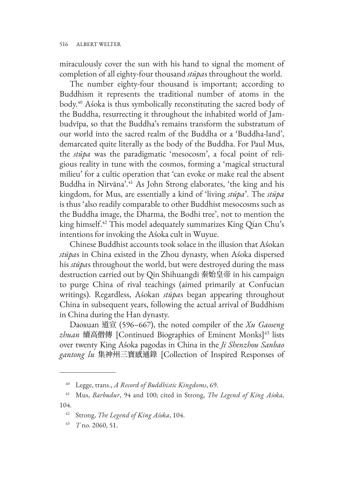miraculously cover the sun with his hand to signal the moment of completion of all eighty-four thousand *stūpa*s throughout the world.

The number eighty-four thousand is important; according to Buddhism it represents the traditional number of atoms in the body.40 Aśoka is thus symbolically reconstituting the sacred body of the Buddha, resurrecting it throughout the inhabited world of Jambudvīpa, so that the Buddha's remains transform the substratum of our world into the sacred realm of the Buddha or a 'Buddha-land', demarcated quite literally as the body of the Buddha. For Paul Mus, the *stūpa* was the paradigmatic 'mesocosm', a focal point of religious reality in tune with the cosmos, forming a 'magical structural milieu' for a cultic operation that 'can evoke or make real the absent Buddha in Nirvāna'.<sup>41</sup> As John Strong elaborates, 'the king and his kingdom, for Mus, are essentially a kind of 'living *stūpa*'. The *stūpa* is thus 'also readily comparable to other Buddhist mesocosms such as the Buddha image, the Dharma, the Bodhi tree', not to mention the king himself.42 This model adequately summarizes King Qian Chu's intentions for invoking the Aśoka cult in Wuyue.

Chinese Buddhist accounts took solace in the illusion that Aśokan *stūpa*s in China existed in the Zhou dynasty, when Aśoka dispersed his *stūpa*s throughout the world, but were destroyed during the mass destruction carried out by Qin Shihuangdi 秦始皇帝 in his campaign to purge China of rival teachings (aimed primarily at Confucian writings). Regardless, Aśokan *stūpa*s began appearing throughout China in subsequent years, following the actual arrival of Buddhism in China during the Han dynasty.

Daoxuan 道宣 (596–667), the noted compiler of the *Xu Gaoseng*  zhuan 續高僧傳 [Continued Biographies of Eminent Monks]<sup>43</sup> lists over twenty King Aśoka pagodas in China in the *Ji Shenzhou Sanbao gantong lu* 集神州三寶感通錄 [Collection of Inspired Responses of

<sup>40</sup> Legge, trans., *A Record of Buddhistic Kingdoms*, 69.

<sup>41</sup> Mus, *Barbudur*, 94 and 100; cited in Strong, *The Legend of King Aśoka,*  104.

<sup>42</sup> Strong, *The Legend of King Aśoka*, 104.

<sup>43</sup> *T* no. 2060, 51.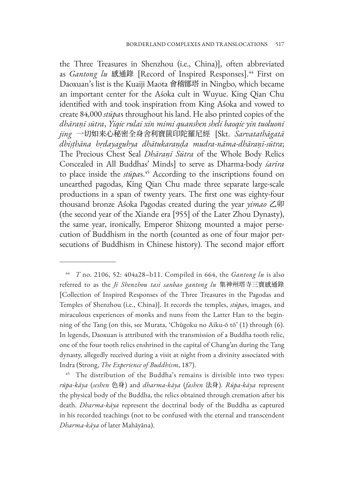the Three Treasures in Shenzhou (i.e., China)], often abbreviated as *Gantong lu* 感通錄 [Record of Inspired Responses].44 First on Daoxuan's list is the Kuaiji Maota 會稽鄮塔 in Ningbo, which became an important center for the Aśoka cult in Wuyue. King Qian Chu identified with and took inspiration from King Aśoka and vowed to create 84,000 *stūpa*s throughout his land. He also printed copies of the *dhāraṇī sūtra*, *Yiqie rulai xin mimi quanshen sheli baoqie yin tuoluoni jing* 一切如来心秘密全身舍利寶篋印陀羅尼經 [Skt. *Sarvatathāgatā dhiṣṭhāna hṛdayaguhya dhātukaraṇḍa mudra-nāma-dhāraṇī-sūtra*; The Precious Chest Seal *Dhāraṇī Sūtra* of the Whole Body Relics Concealed in All Buddhas' Minds] to serve as Dharma-body *śarīra* to place inside the *stūpa*s. 45 According to the inscriptions found on unearthed pagodas, King Qian Chu made three separate large-scale productions in a span of twenty years. The first one was eighty-four thousand bronze Aśoka Pagodas created during the year *yimao* 乙卯 (the second year of the Xiande era [955] of the Later Zhou Dynasty), the same year, ironically, Emperor Shizong mounted a major persecution of Buddhism in the north (counted as one of four major persecutions of Buddhism in Chinese history). The second major effort

<sup>44</sup> *T* no. 2106, 52: 404a28–b11. Compiled in 664, the *Gantong lu* is also referred to as the *Ji Shenzhou tasi sanbao gantong lu* 集神州塔寺三寶感通錄 [Collection of Inspired Responses of the Three Treasures in the Pagodas and Temples of Shenzhou (i.e., China)]. It records the temples, *stūpa*s, images, and miraculous experiences of monks and nuns from the Latter Han to the beginning of the Tang (on this, see Murata, 'Chūgoku no Aiku-ō tō' (1) through (6). In legends, Daoxuan is attributed with the transmission of a Buddha tooth relic, one of the four tooth relics enshrined in the capital of Chang'an during the Tang dynasty, allegedly received during a visit at night from a divinity associated with Indra (Strong, *The Experience of Buddhism*, 187).

<sup>&</sup>lt;sup>45</sup> The distribution of the Buddha's remains is divisible into two types: *rūpa-kāya* (*seshen* 色身) and *dharma-kāya* (*fashen* 法身). *Rūpa-kāya* represent the physical body of the Buddha, the relics obtained through cremation after his death. *Dharma-kāya* represent the doctrinal body of the Buddha as captured in his recorded teachings (not to be confused with the eternal and transcendent *Dharma-kāya* of later Mahāyāna).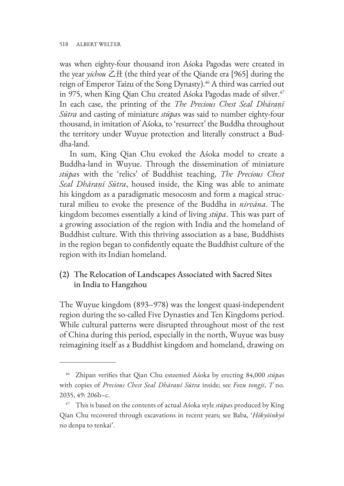was when eighty-four thousand iron Aśoka Pagodas were created in the year *yichou* 乙丑 (the third year of the Qiande era [965] during the reign of Emperor Taizu of the Song Dynasty).<sup>46</sup> A third was carried out in 975, when King Qian Chu created Aśoka Pagodas made of silver.<sup>47</sup> In each case, the printing of the *The Precious Chest Seal Dhāraṇī Sūtra* and casting of miniature *stūpa*s was said to number eighty-four thousand, in imitation of Aśoka, to 'resurrect' the Buddha throughout the territory under Wuyue protection and literally construct a Buddha-land.

In sum, King Qian Chu evoked the Aśoka model to create a Buddha-land in Wuyue. Through the dissemination of miniature *stūpa*s with the 'relics' of Buddhist teaching, *The Precious Chest Seal Dhāraṇī Sūtra*, housed inside, the King was able to animate his kingdom as a paradigmatic mesocosm and form a magical structural milieu to evoke the presence of the Buddha in *nirvāna*. The kingdom becomes essentially a kind of living *stūpa*. This was part of a growing association of the region with India and the homeland of Buddhist culture. With this thriving association as a base, Buddhists in the region began to confidently equate the Buddhist culture of the region with its Indian homeland.

# **(2)** The Relocation of Landscapes Associated with Sacred Sites in India to Hangzhou

The Wuyue kingdom (893–978) was the longest quasi-independent region during the so-called Five Dynasties and Ten Kingdoms period. While cultural patterns were disrupted throughout most of the rest of China during this period, especially in the north, Wuyue was busy reimagining itself as a Buddhist kingdom and homeland, drawing on

<sup>46</sup> Zhipan verifies that Qian Chu esteemed Aśoka by erecting 84,000 *stūpa*s with copies of *Precious Chest Seal Dhāraṇī Sūtra* inside; see *Fozu tongji*, *T* no. 2035, 49: 206b–c.

<sup>47</sup> This is based on the contents of actual Aśoka style *stūpa*s produced by King Qian Chu recovered through excavations in recent years; see Baba, '*Hōkyōinkyō* no denpa to tenkai'.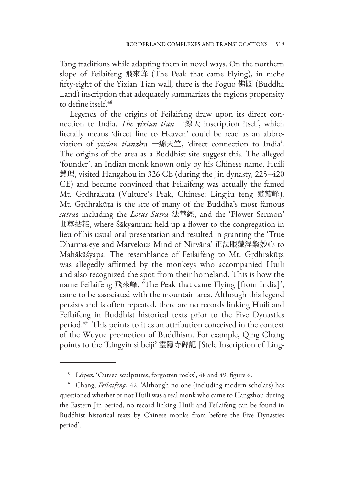Tang traditions while adapting them in novel ways. On the northern slope of Feilaifeng 飛來峰 (The Peak that came Flying), in niche fifty-eight of the Yixian Tian wall, there is the Foguo 佛國 (Buddha Land) inscription that adequately summarizes the regions propensity to define itself.48

Legends of the origins of Feilaifeng draw upon its direct connection to India. *The yixian tian* 一線天 inscription itself, which literally means 'direct line to Heaven' could be read as an abbreviation of *yixian tianzh*u 一線天竺, 'direct connection to India'. The origins of the area as a Buddhist site suggest this. The alleged 'founder', an Indian monk known only by his Chinese name, Huili 慧理, visited Hangzhou in 326 CE (during the Jin dynasty, 225-420) CE) and became convinced that Feilaifeng was actually the famed Mt. Gṛdhrakūṭa (Vulture's Peak, Chinese: Lingjiu feng 靈鷲峰). Mt. Gṛdhrakūṭa is the site of many of the Buddha's most famous *sūtra*s including the *Lotus Sūtra* 法華經, and the 'Flower Sermon' 世尊拈花, where Śākyamuni held up a flower to the congregation in lieu of his usual oral presentation and resulted in granting the 'True Dharma-eye and Marvelous Mind of Nirvāna' 正法眼藏涅槃妙心 to Mahākāśyapa. The resemblance of Feilaifeng to Mt. Gṛdhrakūṭa was allegedly affirmed by the monkeys who accompanied Huili and also recognized the spot from their homeland. This is how the name Feilaifeng 飛來峰, 'The Peak that came Flying [from India]', came to be associated with the mountain area. Although this legend persists and is often repeated, there are no records linking Huili and Feilaifeng in Buddhist historical texts prior to the Five Dynasties period.49 This points to it as an attribution conceived in the context of the Wuyue promotion of Buddhism. For example, Qing Chang points to the 'Lingyin si beiji' 靈隱寺碑記 [Stele Inscription of Ling-

<sup>48</sup> López, 'Cursed sculptures, forgotten rocks', 48 and 49, figure 6.

<sup>49</sup> Chang, *Feilaifeng*, 42: 'Although no one (including modern scholars) has questioned whether or not Huili was a real monk who came to Hangzhou during the Eastern Jin period, no record linking Huili and Feilaifeng can be found in Buddhist historical texts by Chinese monks from before the Five Dynasties period'.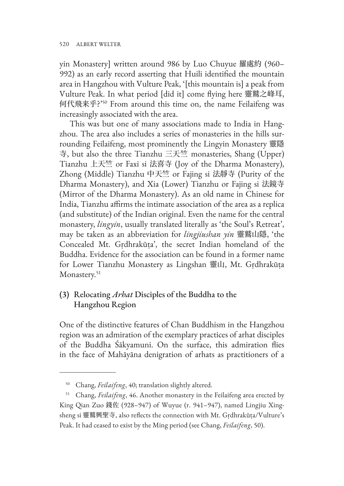yin Monastery] written around 986 by Luo Chuyue 羅處約 (960– 992) as an early record asserting that Huili identified the mountain area in Hangzhou with Vulture Peak, '[this mountain is] a peak from Vulture Peak. In what period [did it] come flying here 靈鷲之峰耳, 何代飛来乎?'50 From around this time on, the name Feilaifeng was increasingly associated with the area.

This was but one of many associations made to India in Hangzhou. The area also includes a series of monasteries in the hills surrounding Feilaifeng, most prominently the Lingyin Monastery 靈隱 寺, but also the three Tianzhu 三天竺 monasteries, Shang (Upper) Tianzhu 上天竺 or Faxi si 法喜寺 (Joy of the Dharma Monastery), Zhong (Middle) Tianzhu 中天竺 or Fajing si 法靜寺 (Purity of the Dharma Monastery), and Xia (Lower) Tianzhu or Fajing si 法鏡寺 (Mirror of the Dharma Monastery). As an old name in Chinese for India, Tianzhu affirms the intimate association of the area as a replica (and substitute) of the Indian original. Even the name for the central monastery, *lingyin*, usually translated literally as 'the Soul's Retreat', may be taken as an abbreviation for *lingjiushan yin* 靈鷲山隱, 'the Concealed Mt. Gṛdhrakūṭa', the secret Indian homeland of the Buddha. Evidence for the association can be found in a former name for Lower Tianzhu Monastery as Lingshan 靈山, Mt. Gṛdhrakūṭa Monastery.<sup>51</sup>

# **(3)** Relocating *Arhat* Disciples of the Buddha to the Hangzhou Region

One of the distinctive features of Chan Buddhism in the Hangzhou region was an admiration of the exemplary practices of arhat disciples of the Buddha Śākyamuni. On the surface, this admiration flies in the face of Mahāyāna denigration of arhats as practitioners of a

<sup>50</sup> Chang, *Feilaifeng*, 40; translation slightly altered.

<sup>51</sup> Chang, *Feilaifeng*, 46. Another monastery in the Feilaifeng area erected by King Qian Zuo 錢佐 (928–947) of Wuyue (r. 941–947), named Lingjiu Xingsheng si 靈鷲興聖寺, also reflects the connection with Mt. Gṛdhrakūṭa/Vulture's Peak. It had ceased to exist by the Ming period (see Chang, *Feilaifeng*, 50).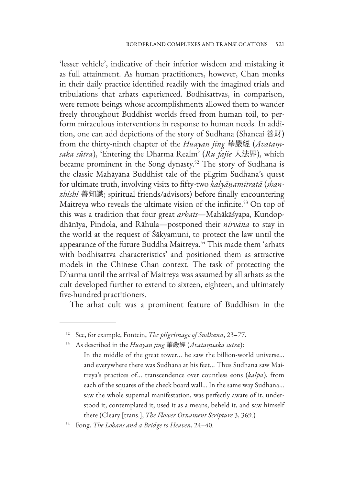'lesser vehicle', indicative of their inferior wisdom and mistaking it as full attainment. As human practitioners, however, Chan monks in their daily practice identified readily with the imagined trials and tribulations that arhats experienced. Bodhisattvas, in comparison, were remote beings whose accomplishments allowed them to wander freely throughout Buddhist worlds freed from human toil, to perform miraculous interventions in response to human needs. In addition, one can add depictions of the story of Sudhana (Shancai 善財) from the thirty-ninth chapter of the *Huayan jing* 華嚴經 (*Avataṃsaka sūtra*), 'Entering the Dharma Realm' (*Ru fajie* 入法界), which became prominent in the Song dynasty.<sup>52</sup> The story of Sudhana is the classic Mahāyāna Buddhist tale of the pilgrim Sudhana's quest for ultimate truth, involving visits to fifty-two *kalyāṇamitratā* (*shanzhishi* 善知識; spiritual friends/advisors) before finally encountering Maitreya who reveals the ultimate vision of the infinite.<sup>53</sup> On top of this was a tradition that four great *arhats*—Mahākāśyapa, Kundopdhānīya, Pindola, and Rāhula—postponed their *nirvāna* to stay in the world at the request of Śākyamuni, to protect the law until the appearance of the future Buddha Maitreya.<sup>54</sup> This made them 'arhats with bodhisattva characteristics' and positioned them as attractive models in the Chinese Chan context. The task of protecting the Dharma until the arrival of Maitreya was assumed by all arhats as the cult developed further to extend to sixteen, eighteen, and ultimately five-hundred practitioners.

The arhat cult was a prominent feature of Buddhism in the

<sup>52</sup> See, for example, Fontein, *The pilgrimage of Sudhana*, 23–77.

<sup>53</sup> As described in the *Huayan jing* 華嚴經 (*Avataṃsaka sūtra*):

In the middle of the great tower... he saw the billion-world universe... and everywhere there was Sudhana at his feet... Thus Sudhana saw Maitreya's practices of... transcendence over countless eons (*kalpa*), from each of the squares of the check board wall... In the same way Sudhana... saw the whole supernal manifestation, was perfectly aware of it, understood it, contemplated it, used it as a means, beheld it, and saw himself there (Cleary [trans.], *The Flower Ornament Scripture* 3, 369.)

<sup>54</sup> Fong, *The Lohans and a Bridge to Heaven*, 24–40.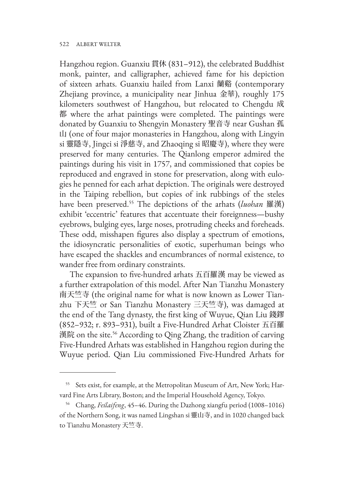Hangzhou region. Guanxiu 貫休 (831–912), the celebrated Buddhist monk, painter, and calligrapher, achieved fame for his depiction of sixteen arhats. Guanxiu hailed from Lanxi 蘭谿 (contemporary Zhejiang province, a municipality near Jinhua 金華), roughly 175 kilometers southwest of Hangzhou, but relocated to Chengdu 成 都 where the arhat paintings were completed. The paintings were donated by Guanxiu to Shengyin Monastery 聖音寺 near Gushan 孤 山 (one of four major monasteries in Hangzhou, along with Lingyin si 靈隱寺, Jingci si 淨慈寺, and Zhaoqing si 昭慶寺), where they were preserved for many centuries. The Qianlong emperor admired the paintings during his visit in 1757, and commissioned that copies be reproduced and engraved in stone for preservation, along with eulogies he penned for each arhat depiction. The originals were destroyed in the Taiping rebellion, but copies of ink rubbings of the steles have been preserved.55 The depictions of the arhats (*luohan* 羅漢) exhibit 'eccentric' features that accentuate their foreignness—bushy eyebrows, bulging eyes, large noses, protruding cheeks and foreheads. These odd, misshapen figures also display a spectrum of emotions, the idiosyncratic personalities of exotic, superhuman beings who have escaped the shackles and encumbrances of normal existence, to wander free from ordinary constraints.

The expansion to five-hundred arhats 五百羅漢 may be viewed as a further extrapolation of this model. After Nan Tianzhu Monastery 南天竺寺 (the original name for what is now known as Lower Tianzhu 下天竺 or San Tianzhu Monastery 三天竺寺), was damaged at the end of the Tang dynasty, the first king of Wuyue, Qian Liu 錢鏐 (852–932; r. 893–931), built a Five-Hundred Arhat Cloister 五百羅 漢院 on the site.<sup>56</sup> According to Qing Zhang, the tradition of carving Five-Hundred Arhats was established in Hangzhou region during the Wuyue period. Qian Liu commissioned Five-Hundred Arhats for

<sup>55</sup> Sets exist, for example, at the Metropolitan Museum of Art, New York; Harvard Fine Arts Library, Boston; and the Imperial Household Agency, Tokyo.

<sup>56</sup> Chang, *Feilaifeng*, 45–46. During the Dazhong xiangfu period (1008–1016) of the Northern Song, it was named Lingshan si 靈山寺, and in 1020 changed back to Tianzhu Monastery 天竺寺.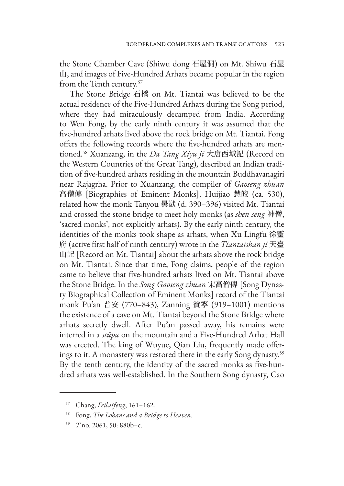the Stone Chamber Cave (Shiwu dong 石屋洞) on Mt. Shiwu 石屋 山, and images of Five-Hundred Arhats became popular in the region from the Tenth century.57

The Stone Bridge 石橋 on Mt. Tiantai was believed to be the actual residence of the Five-Hundred Arhats during the Song period, where they had miraculously decamped from India. According to Wen Fong, by the early ninth century it was assumed that the five-hundred arhats lived above the rock bridge on Mt. Tiantai. Fong offers the following records where the five-hundred arhats are mentioned.58 Xuanzang, in the *Da Tang Xiyu ji* 大唐西域記 (Record on the Western Countries of the Great Tang), described an Indian tradition of five-hundred arhats residing in the mountain Buddhavanagiri near Rajagrha. Prior to Xuanzang, the compiler of *Gaoseng zhuan* 高僧傳 [Biographies of Eminent Monks], Huijiao 慧皎 (ca. 530), related how the monk Tanyou 曇猷 (d. 390–396) visited Mt. Tiantai and crossed the stone bridge to meet holy monks (as *shen seng* 神僧, 'sacred monks', not explicitly arhats). By the early ninth century, the identities of the monks took shape as arhats, when Xu Lingfu 徐靈 府 (active first half of ninth century) wrote in the *Tiantaishan ji* 天臺 山記 [Record on Mt. Tiantai] about the arhats above the rock bridge on Mt. Tiantai. Since that time, Fong claims, people of the region came to believe that five-hundred arhats lived on Mt. Tiantai above the Stone Bridge. In the *Song Gaoseng zhuan* 宋高僧傳 [Song Dynasty Biographical Collection of Eminent Monks] record of the Tiantai monk Pu'an 普安 (770–843), Zanning 贊寧 (919–1001) mentions the existence of a cave on Mt. Tiantai beyond the Stone Bridge where arhats secretly dwell. After Pu'an passed away, his remains were interred in a *stūpa* on the mountain and a Five-Hundred Arhat Hall was erected. The king of Wuyue, Qian Liu, frequently made offerings to it. A monastery was restored there in the early Song dynasty.59 By the tenth century, the identity of the sacred monks as five-hundred arhats was well-established. In the Southern Song dynasty, Cao

<sup>57</sup> Chang, *Feilaifeng*, 161–162.

<sup>58</sup> Fong, *The Lohans and a Bridge to Heaven*.

<sup>59</sup> *T* no. 2061, 50: 880b–c.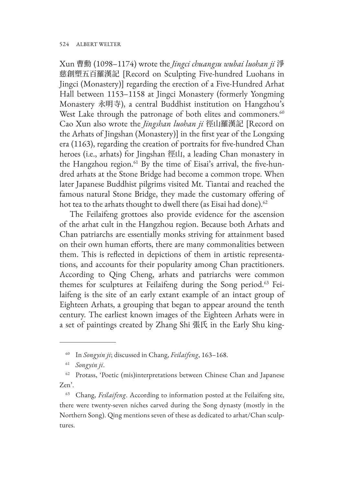Xun 曹勳 (1098–1174) wrote the *Jingci chuangsu wubai luohan ji* 淨 慈創塑五百羅漢記 [Record on Sculpting Five-hundred Luohans in Jingci (Monastery)] regarding the erection of a Five-Hundred Arhat Hall between 1153–1158 at Jingci Monastery (formerly Yongming Monastery 永明寺), a central Buddhist institution on Hangzhou's West Lake through the patronage of both elites and commoners.<sup>60</sup> Cao Xun also wrote the *Jingshan luohan ji* 徑山羅漢記 [Record on the Arhats of Jingshan (Monastery)] in the first year of the Longxing era (1163), regarding the creation of portraits for five-hundred Chan heroes (i.e., arhats) for Jingshan 徑山, a leading Chan monastery in the Hangzhou region.<sup>61</sup> By the time of Eisai's arrival, the five-hundred arhats at the Stone Bridge had become a common trope. When later Japanese Buddhist pilgrims visited Mt. Tiantai and reached the famous natural Stone Bridge, they made the customary offering of hot tea to the arhats thought to dwell there (as Eisai had done).<sup>62</sup>

The Feilaifeng grottoes also provide evidence for the ascension of the arhat cult in the Hangzhou region. Because both Arhats and Chan patriarchs are essentially monks striving for attainment based on their own human efforts, there are many commonalities between them. This is reflected in depictions of them in artistic representations, and accounts for their popularity among Chan practitioners. According to Qing Cheng, arhats and patriarchs were common themes for sculptures at Feilaifeng during the Song period.<sup>63</sup> Feilaifeng is the site of an early extant example of an intact group of Eighteen Arhats, a grouping that began to appear around the tenth century. The earliest known images of the Eighteen Arhats were in a set of paintings created by Zhang Shi 張氏 in the Early Shu king-

<sup>60</sup> In *Songyin ji*; discussed in Chang, *Feilaifeng*, 163–168.

<sup>61</sup> *Songyin ji*.

<sup>&</sup>lt;sup>62</sup> Protass, 'Poetic (mis)interpretations between Chinese Chan and Japanese Zen'.

<sup>63</sup> Chang, *Feilaifeng*. According to information posted at the Feilaifeng site, there were twenty-seven niches carved during the Song dynasty (mostly in the Northern Song). Qing mentions seven of these as dedicated to arhat/Chan sculptures.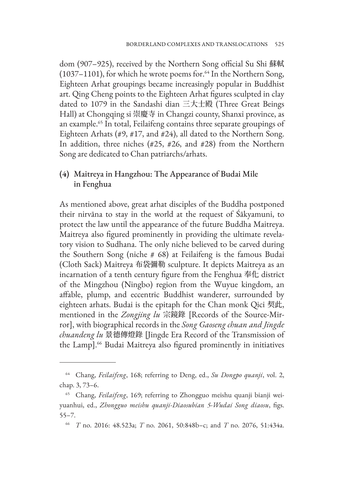dom (907–925), received by the Northern Song official Su Shi 蘇軾 (1037–1101), for which he wrote poems for. $64$  In the Northern Song, Eighteen Arhat groupings became increasingly popular in Buddhist art. Qing Cheng points to the Eighteen Arhat figures sculpted in clay dated to 1079 in the Sandashi dian 三大士殿 (Three Great Beings Hall) at Chongqing si 崇慶寺 in Changzi county, Shanxi province, as an example.65 In total, Feilaifeng contains three separate groupings of Eighteen Arhats (#9, #17, and #24), all dated to the Northern Song. In addition, three niches (#25, #26, and #28) from the Northern Song are dedicated to Chan patriarchs/arhats.

# **(4)** Maitreya in Hangzhou: The Appearance of Budai Mile in Fenghua

As mentioned above, great arhat disciples of the Buddha postponed their nirvāna to stay in the world at the request of Śākyamuni, to protect the law until the appearance of the future Buddha Maitreya. Maitreya also figured prominently in providing the ultimate revelatory vision to Sudhana. The only niche believed to be carved during the Southern Song (niche # 68) at Feilaifeng is the famous Budai (Cloth Sack) Maitreya 布袋彌勒 sculpture. It depicts Maitreya as an incarnation of a tenth century figure from the Fenghua 奉化 district of the Mingzhou (Ningbo) region from the Wuyue kingdom, an affable, plump, and eccentric Buddhist wanderer, surrounded by eighteen arhats. Budai is the epitaph for the Chan monk Qici 契此, mentioned in the *Zongjing lu* 宗鏡錄 [Records of the Source-Mirror], with biographical records in the *Song Gaoseng chuan and Jingde chuandeng lu* 景德傳燈錄 [Jingde Era Record of the Transmission of the Lamp].<sup>66</sup> Budai Maitreya also figured prominently in initiatives

<sup>64</sup> Chang, *Feilaifeng*, 168; referring to Deng, ed., *Su Dongpo quanji*, vol. 2, chap. 3, 73–6.

<sup>65</sup> Chang, *Feilaifeng*, 169; referring to Zhongguo meishu quanji bianji weiyuanhui, ed., *Zhongguo meishu quanji-Diaosubian 5-Wudai Song diaosu*, figs. 55–7.

<sup>66</sup> *T* no. 2016: 48.523a; *T* no. 2061, 50:848b–c; and *T* no. 2076, 51:434a.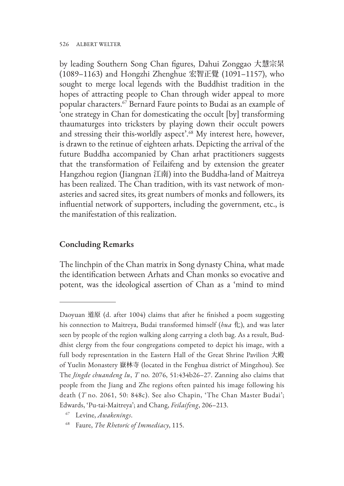by leading Southern Song Chan figures, Dahui Zonggao 大慧宗杲 (1089–1163) and Hongzhi Zhenghue 宏智正覺 (1091–1157), who sought to merge local legends with the Buddhist tradition in the hopes of attracting people to Chan through wider appeal to more popular characters.67 Bernard Faure points to Budai as an example of 'one strategy in Chan for domesticating the occult [by] transforming thaumaturges into tricksters by playing down their occult powers and stressing their this-worldly aspect'.<sup>68</sup> My interest here, however, is drawn to the retinue of eighteen arhats. Depicting the arrival of the future Buddha accompanied by Chan arhat practitioners suggests that the transformation of Feilaifeng and by extension the greater Hangzhou region (Jiangnan 江南) into the Buddha-land of Maitreya has been realized. The Chan tradition, with its vast network of monasteries and sacred sites, its great numbers of monks and followers, its influential network of supporters, including the government, etc., is the manifestation of this realization.

#### **Concluding Remarks**

The linchpin of the Chan matrix in Song dynasty China, what made the identification between Arhats and Chan monks so evocative and potent, was the ideological assertion of Chan as a 'mind to mind

Daoyuan 道原 (d. after 1004) claims that after he finished a poem suggesting his connection to Maitreya, Budai transformed himself (*hua* 化), and was later seen by people of the region walking along carrying a cloth bag. As a result, Buddhist clergy from the four congregations competed to depict his image, with a full body representation in the Eastern Hall of the Great Shrine Pavilion 大殿 of Yuelin Monastery 嶽林寺 (located in the Fenghua district of Mingzhou). See The *Jingde chuandeng lu*, *T* no. 2076, 51:434b26–27. Zanning also claims that people from the Jiang and Zhe regions often painted his image following his death (*T* no. 2061, 50: 848c). See also Chapin, 'The Chan Master Budai'; Edwards, 'Pu-tai-Maitreya'; and Chang, *Feilaifeng*, 206–213.

<sup>67</sup> Levine, *Awakenings*.

<sup>68</sup> Faure, *The Rhetoric of Immediacy*, 115.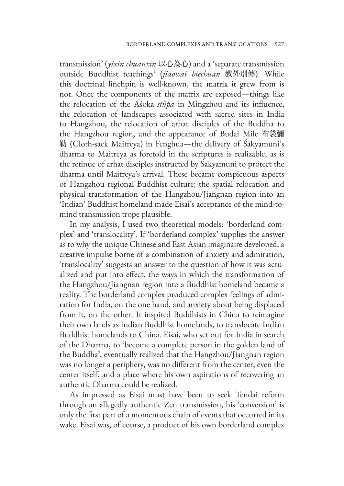transmission' (*yixin chuanxin* 以心為心) and a 'separate transmission outside Buddhist teachings' (*jiaowai biechuan* 教外別傳). While this doctrinal linchpin is well-known, the matrix it grew from is not. Once the components of the matrix are exposed—things like the relocation of the Aśoka *stūpa* in Mingzhou and its influence, the relocation of landscapes associated with sacred sites in India to Hangzhou, the relocation of arhat disciples of the Buddha to the Hangzhou region, and the appearance of Budai Mile 布袋彌 勒 (Cloth-sack Maitreya) in Fenghua—the delivery of Śākyamuni's dharma to Maitreya as foretold in the scriptures is realizable, as is the retinue of arhat disciples instructed by Śākyamuni to protect the dharma until Maitreya's arrival. These became conspicuous aspects of Hangzhou regional Buddhist culture; the spatial relocation and physical transformation of the Hangzhou/Jiangnan region into an 'Indian' Buddhist homeland made Eisai's acceptance of the mind-tomind transmission trope plausible.

In my analysis, I used two theoretical models: 'borderland complex' and 'translocality'. If 'borderland complex' supplies the answer as to why the unique Chinese and East Asian imaginaire developed, a creative impulse borne of a combination of anxiety and admiration, 'translocality' suggests an answer to the question of how it was actualized and put into effect, the ways in which the transformation of the Hangzhou/Jiangnan region into a Buddhist homeland became a reality. The borderland complex produced complex feelings of admiration for India, on the one hand, and anxiety about being displaced from it, on the other. It inspired Buddhists in China to reimagine their own lands as Indian Buddhist homelands, to translocate Indian Buddhist homelands to China. Eisai, who set out for India in search of the Dharma, to 'become a complete person in the golden land of the Buddha', eventually realized that the Hangzhou/Jiangnan region was no longer a periphery, was no different from the center, even the center itself, and a place where his own aspirations of recovering an authentic Dharma could be realized.

As impressed as Eisai must have been to seek Tendai reform through an allegedly authentic Zen transmission, his 'conversion' is only the first part of a momentous chain of events that occurred in its wake. Eisai was, of course, a product of his own borderland complex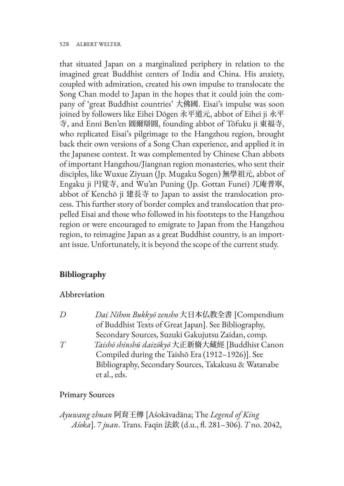that situated Japan on a marginalized periphery in relation to the imagined great Buddhist centers of India and China. His anxiety, coupled with admiration, created his own impulse to translocate the Song Chan model to Japan in the hopes that it could join the company of 'great Buddhist countries' 大佛國. Eisai's impulse was soon joined by followers like Eihei Dōgen 永平道元, abbot of Eihei ji 永平 寺, and Enni Ben'en 圓爾辯圓, founding abbot of Tōfuku ji 東福寺, who replicated Eisai's pilgrimage to the Hangzhou region, brought back their own versions of a Song Chan experience, and applied it in the Japanese context. It was complemented by Chinese Chan abbots of important Hangzhou/Jiangnan region monasteries, who sent their disciples, like Wuxue Ziyuan (Jp. Mugaku Sogen) 無學祖元, abbot of Engaku ji 円覚寺, and Wu'an Puning (Jp. Gottan Funei) 兀庵普寧, abbot of Kenchō ji 建長寺 to Japan to assist the translocation process. This further story of border complex and translocation that propelled Eisai and those who followed in his footsteps to the Hangzhou region or were encouraged to emigrate to Japan from the Hangzhou region, to reimagine Japan as a great Buddhist country, is an important issue. Unfortunately, it is beyond the scope of the current study.

# **Bibliography**

#### Abbreviation

*D Dai Nihon Bukkyō zensho* 大日本仏教全書 [Compendium of Buddhist Texts of Great Japan]. See Bibliography, Secondary Sources, Suzuki Gakujutsu Zaidan, comp. *T Taishō shinshū daizōkyō* 大正新脩大藏經 [Buddhist Canon Compiled during the Taishō Era (1912–1926)]. See Bibliography, Secondary Sources, Takakusu & Watanabe et al., eds.

# Primary Sources

*Ayuwang zhuan* 阿育王傳 [Aśokāvadāna; The *Legend of King Aśoka*]. 7 *juan*. Trans. Faqin 法欽 (d.u., fl. 281–306). *T* no. 2042,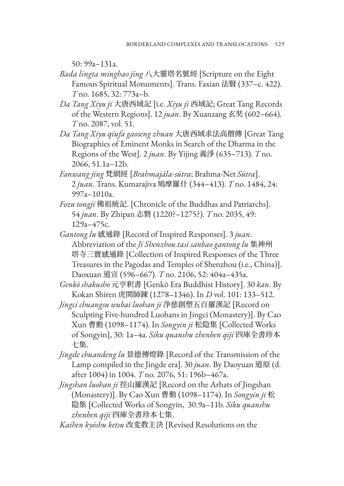50: 99a–131a.

- *Bada lingta minghao jing* 八大靈塔名號經 [Scripture on the Eight Famous Spiritual Monuments]. Trans. Faxian 法賢 (337–c. 422). *T* no. 1685, 32: 773a–b.
- *Da Tang Xiyu ji* 大唐西域記 [i.e. *Xiyu ji* 西域記; Great Tang Records of the Western Regions]. 12 *juan*. By Xuanzang 玄奘 (602–664). *T* no. 2087, vol. 51.
- *Da Tang Xiyu qiufa gaoseng zhuan* 大唐西域求法高僧傳 [Great Tang Biographies of Eminent Monks in Search of the Dharma in the Regions of the West]. 2 *juan*. By Yijing 義淨 (635–713). *T* no. 2066, 51.1a–12b.
- *Fanwang jing* 梵網經 [*Brahmajāla-sūtra*; Brahma-Net *Sūtra*]. 2 *juan*. Trans. Kumarajiva 鳩摩羅什 (344–413). *T* no. 1484, 24: 997a–1010a.
- *Fozu tongji* 佛祖統記. [Chronicle of the Buddhas and Patriarchs]. 54 *juan*. By Zhipan 志磐 (1220?–1275?). *T* no. 2035, 49: 129a–475c.
- *Gantong lu* 感通錄 [Record of Inspired Responses]. 3 *juan*. Abbreviation of the *Ji Shenzhou tasi sanbao gantong lu* 集神州 塔寺三寶感通錄 [Collection of Inspired Responses of the Three Treasures in the Pagodas and Temples of Shenzhou (i.e., China)]. Daoxuan 道宣 (596–667). *T* no. 2106, 52: 404a–435a.
- *Genkō shakusho* 元亨釈書 [Genkō Era Buddhist History]. 30 *kan*. By Kokan Shiren 虎関師錬 (1278–1346). In *D* vol. 101: 133–512.
- *Jingci chuangsu wubai luohan ji* 净慈創塑五百羅漢記 [Record on Sculpting Five-hundred Luohans in Jingci (Monastery)]. By Cao Xun 曹勳 (1098–1174). In *Songyin ji* 松隐集 [Collected Works of Songyin], 30: 1a–4a. *Siku quanshu zhenben qiji* 四庫全書珍本 七集.
- *Jingde chuandeng lu* 景德傳燈錄 [Record of the Transmission of the Lamp compiled in the Jingde era]. 30 *juan*. By Daoyuan 道原 (d. after 1004) in 1004. *T* no. 2076, 51: 196b–467a.
- *Jingshan luohan ji* 徑山羅漢記 [Record on the Arhats of Jingshan (Monastery)]. By Cao Xun 曹勳 (1098–1174). In *Songyin ji* 松 隐集 [Collected Works of Songyin, 30.9a–11b. *Siku quanshu zhenben qiji* 四庫全書珍本七集.

*Kaihen kyōshu ketsu* 改変教主決 [Revised Resolutions on the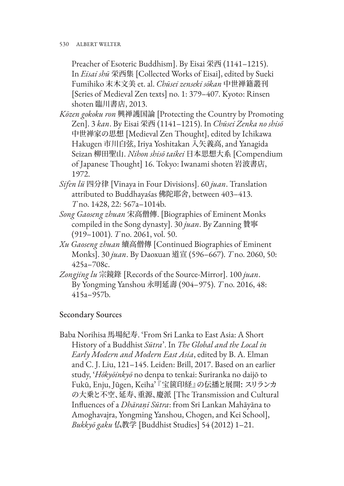Preacher of Esoteric Buddhism]. By Eisai 栄西 (1141-1215). In *Eisai shū* 栄西集 [Collected Works of Eisai], edited by Sueki Fumihiko 末木文美 et. al. *Chūsei zenseki sōkan* 中世禅籍叢刊 [Series of Medieval Zen texts] no. 1: 379–407. Kyoto: Rinsen shoten 臨川書店, 2013.

- *Kōzen gokoku ron* 興禅護国論 [Protecting the Country by Promoting Zen]. 3 *kan*. By Eisai 栄西 (1141–1215). In *Chūsei Zenka no shisō*  中世禅家の思想 [Medieval Zen Thought], edited by Ichikawa Hakugen 市川白弦, Iriya Yoshitakan 入矢義高, and Yanagida Seizan 柳田聖山. *Nihon shisō taikei* 日本思想大系 [Compendium of Japanese Thought] 16. Tokyo: Iwanami shoten 岩波書店, 1972.
- *Sifen lü* 四分律 [Vinaya in Four Divisions]. 60 *juan*. Translation attributed to Buddhayaśas 佛陀耶舍, between 403–413. *T* no. 1428, 22: 567a–1014b.
- *Song Gaoseng zhuan* 宋高僧傳. [Biographies of Eminent Monks compiled in the Song dynasty]. 30 *juan*. By Zanning 贊寧 (919–1001). *T* no. 2061, vol. 50.
- *Xu Gaoseng zhuan* 續高僧傳 [Continued Biographies of Eminent Monks]. 30 *juan*. By Daoxuan 道宣 (596–667). *T* no. 2060, 50: 425a–708c.
- *Zongjing lu* 宗鏡錄 [Records of the Source-Mirror]. 100 *juan*. By Yongming Yanshou 永明延壽 (904–975). *T* no. 2016, 48: 415a–957b.

# Secondary Sources

Baba Norihisa 馬場紀寿. 'From Sri Lanka to East Asia: A Short History of a Buddhist *Sūtra*'. In *The Global and the Local in Early Modern and Modern East Asia*, edited by B. A. Elman and C. J. Liu, 121–145. Leiden: Brill, 2017. Based on an earlier study, '*Hōkyōinkyō* no denpa to tenkai: Suriranka no daijō to Fukū, Enju, Jūgen, Keiha' 『宝篋印経』の伝播と展開: スリランカ の大乗と不空、延寿、重源、慶派 [The Transmission and Cultural Influences of a *Dhāraṇī Sūtra*: from Sri Lankan Mahāyāna to Amoghavajra, Yongming Yanshou, Chogen, and Kei School], *Bukkyō gaku* 仏教学 [Buddhist Studies] 54 (2012) 1–21.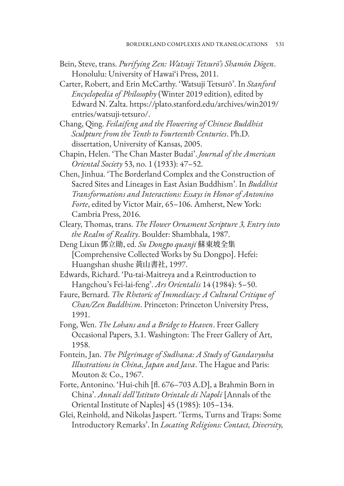- Bein, Steve, trans. *Purifying Zen: Watsuji Tetsurō's Shamōn Dōgen*. Honolulu: University of Hawai'i Press, 2011.
- Carter, Robert, and Erin McCarthy. 'Watsuji Tetsurō'. In *Stanford Encyclopedia of Philosophy* (Winter 2019 edition), edited by Edward N. Zalta. https://plato.stanford.edu/archives/win2019/ entries/watsuji-tetsuro/.
- Chang, Qing. *Feilaifeng and the Flowering of Chinese Buddhist Sculpture from the Tenth to Fourteenth Centuries*. Ph.D. dissertation, University of Kansas, 2005.
- Chapin, Helen. 'The Chan Master Budai'. *Journal of the American Oriental Society* 53, no. 1 (1933): 47–52.
- Chen, Jinhua. 'The Borderland Complex and the Construction of Sacred Sites and Lineages in East Asian Buddhism'. In *Buddhist Transformations and Interactions: Essays in Honor of Antonino Forte*, edited by Victor Mair, 65–106. Amherst, New York: Cambria Press, 2016.
- Cleary, Thomas, trans. *The Flower Ornament Scripture 3, Entry into the Realm of Reality*. Boulder: Shambhala, 1987.
- Deng Lixun 鄧立勛, ed. *Su Dongpo quanji* 蘇東坡全集 [Comprehensive Collected Works by Su Dongpo]. Hefei: Huangshan shushe 黃山書社, 1997.
- Edwards, Richard. 'Pu-tai-Maitreya and a Reintroduction to Hangchou's Fei-lai-feng'. *Ars Orientalis* 14 (1984): 5–50.
- Faure, Bernard. *The Rhetoric of Immediacy: A Cultural Critique of Chan/Zen Buddhism*. Princeton: Princeton University Press, 1991.
- Fong, Wen. *The Lohans and a Bridge to Heaven*. Freer Gallery Occasional Papers, 3.1. Washington: The Freer Gallery of Art, 1958.
- Fontein, Jan. *The Pilgrimage of Sudhana: A Study of Gandavyuha Illustrations in China, Japan and Java*. The Hague and Paris: Mouton & Co., 1967.
- Forte, Antonino. 'Hui-chih [fl. 676–703 A.D], a Brahmin Born in China'. *Annali dell'Istituto Orintale di Napoli* [Annals of the Oriental Institute of Naples] 45 (1985): 105–134.
- Glei, Reinhold, and Nikolas Jaspert. 'Terms, Turns and Traps: Some Introductory Remarks'. In *Locating Religions: Contact, Diversity,*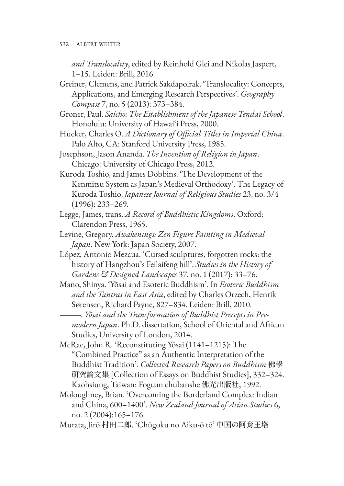*and Translocality*, edited by Reinhold Glei and Nikolas Jaspert, 1–15. Leiden: Brill, 2016.

- Greiner, Clemens, and Patrick Sakdapolrak. 'Translocality: Concepts, Applications, and Emerging Research Perspectives'. *Geography Compass* 7, no. 5 (2013): 373–384.
- Groner, Paul. *Saicho: The Establishment of the Japanese Tendai School*. Honolulu: University of Hawai'i Press, 2000.
- Hucker, Charles O. *A Dictionary of Official Titles in Imperial China*. Palo Alto, CA: Stanford University Press, 1985.
- Josephson, Jason Ānanda. *The Invention of Religion in Japan*. Chicago: University of Chicago Press, 2012.
- Kuroda Toshio, and James Dobbins. 'The Development of the Kenmitsu System as Japan's Medieval Orthodoxy'. The Legacy of Kuroda Toshio, *Japanese Journal of Religious Studies* 23, no. 3/4 (1996): 233–269.
- Legge, James, trans. *A Record of Buddhistic Kingdoms*. Oxford: Clarendon Press, 1965.
- Levine, Gregory. *Awakenings: Zen Figure Painting in Medieval Japan*. New York: Japan Society, 2007.
- López, Antonio Mezcua. 'Cursed sculptures, forgotten rocks: the history of Hangzhou's Feilaifeng hill'. *Studies in the History of Gardens & Designed Landscapes* 37, no. 1 (2017): 33–76.
- Mano, Shinya. 'Yōsai and Esoteric Buddhism'. In *Esoteric Buddhism and the Tantras in East Asia*, edited by Charles Orzech, Henrik Sørensen, Richard Payne, 827–834. Leiden: Brill, 2010.
	- ———. *Yōsai and the Transformation of Buddhist Precepts in Pre‐ modern Japan*. Ph.D. dissertation, School of Oriental and African Studies, University of London, 2014.
- McRae, John R. 'Reconstituting Yōsai (1141–1215): The "Combined Practice" as an Authentic Interpretation of the Buddhist Tradition'. *Collected Research Papers on Buddhism* 佛學 研究論文集 [Collection of Essays on Buddhist Studies], 332–324. Kaohsiung, Taiwan: Foguan chubanshe 佛光出版社, 1992.
- Moloughney, Brian. 'Overcoming the Borderland Complex: Indian and China, 600–1400'. *New Zealand Journal of Asian Studies* 6, no. 2 (2004):165–176.
- Murata, Jirō 村田二郎. 'Chūgoku no Aiku-ō tō' 中国の阿育王塔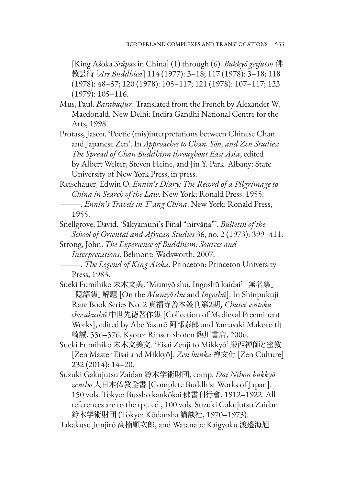[King Aśoka *Stūpa*s in China] (1) through (6). *Bukkyō geijutsu* 佛 教芸術 [*Ars Buddhica*] 114 (1977): 3–18; 117 (1978): 3–18; 118 (1978): 48–57; 120 (1978): 105–117; 121 (1978): 107–117; 123 (1979): 105–116.

- Mus, Paul. *Barabuḍur*. Translated from the French by Alexander W. Macdonald. New Delhi: Indira Gandhi National Centre for the Arts, 1998.
- Protass, Jason. 'Poetic (mis)interpretations between Chinese Chan and Japanese Zen'. In *Approaches to Chan, Sŏn, and Zen Studies: The Spread of Chan Buddhism throughout East Asia*, edited by Albert Welter, Steven Heine, and Jin Y. Park. Albany: State University of New York Press, in press.

Reischauer, Edwin O. *Ennin*'*s Diary: The Record of a Pilgrimage to China in Search of the Law*. New York: Ronald Press, 1955. ———. *Ennin*'*s Travels in T*'*ang China*. New York: Ronald Press, 1955.

- Snellgrove, David. 'Śākyamuni's Final "nirvāṇa"'. *Bulletin of the School of Oriental and African Studies* 36, no. 2 (1973): 399–411.
- Strong, John. *The Experience of Buddhism: Sources and Interpretations*. Belmont: Wadsworth, 2007.
- ———. *The Legend of King Aśoka*. Princeton: Princeton University Press, 1983.
- Sueki Fumihiko 末木文美. 'Mumyō shu, Ingoshū kaidai' 「無名集」 「隠語集」解題 [On the *Mumyō shu* and *Ingoshū*]. In Shinpukuji Rare Book Series No. 2 真福寺善本叢刊第2期, *Chusei sentoku chosakushū* 中世先徳著作集 [Collection of Medieval Preeminent Works], edited by Abe Yasurō 阿部泰郎 and Yamasaki Makoto 山 崎誠, 556–576. Kyoto: Rinsen shoten 臨川書店, 2006.
- Sueki Fumihiko 末木文美文. 'Eisai Zenji to Mikkyō' 栄西禅師と密教 [Zen Master Eisai and Mikkyō]. *Zen bunka* 禅文化 [Zen Culture] 232 (2014): 14–20.
- Suzuki Gakujutsu Zaidan 鈴木学術財団, comp. *Dai Nihon bukkyō zensho* 大日本仏教全書 [Complete Buddhist Works of Japan]. 150 vols. Tokyo: Bussho kankōkai 佛書刊行會, 1912–1922. All references are to the rpt. ed., 100 vols. Suzuki Gakujutsu Zaidan 鈴木学術財団 (Tokyo: Kōdansha 講談社, 1970–1973).

Takakusu Junjirō 高楠順次郎, and Watanabe Kaigyoku 渡邊海旭